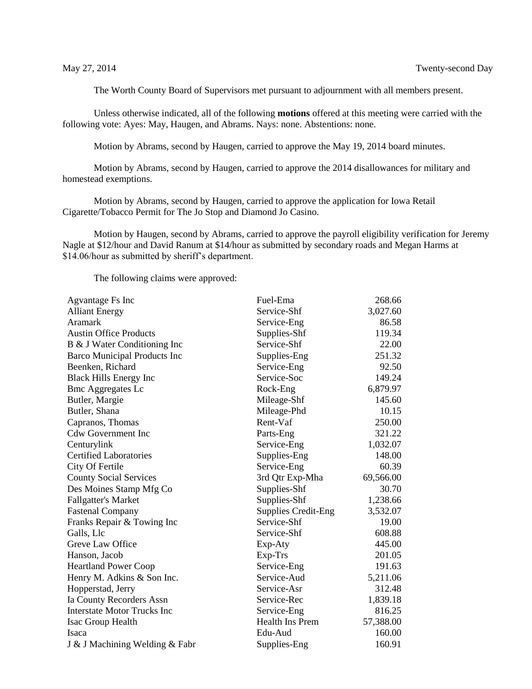The Worth County Board of Supervisors met pursuant to adjournment with all members present.

Unless otherwise indicated, all of the following **motions** offered at this meeting were carried with the following vote: Ayes: May, Haugen, and Abrams. Nays: none. Abstentions: none.

Motion by Abrams, second by Haugen, carried to approve the May 19, 2014 board minutes.

Motion by Abrams, second by Haugen, carried to approve the 2014 disallowances for military and homestead exemptions.

Motion by Abrams, second by Haugen, carried to approve the application for Iowa Retail Cigarette/Tobacco Permit for The Jo Stop and Diamond Jo Casino.

Motion by Haugen, second by Abrams, carried to approve the payroll eligibility verification for Jeremy Nagle at \$12/hour and David Ranum at \$14/hour as submitted by secondary roads and Megan Harms at \$14.06/hour as submitted by sheriff's department.

The following claims were approved:

| Agvantage Fs Inc                   | Fuel-Ema                   | 268.66    |
|------------------------------------|----------------------------|-----------|
| <b>Alliant Energy</b>              | Service-Shf                | 3,027.60  |
| Aramark                            | Service-Eng                | 86.58     |
| <b>Austin Office Products</b>      | Supplies-Shf               | 119.34    |
| B & J Water Conditioning Inc       | Service-Shf                | 22.00     |
| Barco Municipal Products Inc       | Supplies-Eng               | 251.32    |
| Beenken, Richard                   | Service-Eng                | 92.50     |
| <b>Black Hills Energy Inc</b>      | Service-Soc                | 149.24    |
| <b>Bmc Aggregates Lc</b>           | Rock-Eng                   | 6,879.97  |
| Butler, Margie                     | Mileage-Shf                | 145.60    |
| Butler, Shana                      | Mileage-Phd                | 10.15     |
| Capranos, Thomas                   | Rent-Vaf                   | 250.00    |
| <b>Cdw Government Inc</b>          | Parts-Eng                  | 321.22    |
| Centurylink                        | Service-Eng                | 1,032.07  |
| <b>Certified Laboratories</b>      | Supplies-Eng               | 148.00    |
| City Of Fertile                    | Service-Eng                | 60.39     |
| <b>County Social Services</b>      | 3rd Qtr Exp-Mha            | 69,566.00 |
| Des Moines Stamp Mfg Co            | Supplies-Shf               | 30.70     |
| <b>Fallgatter's Market</b>         | Supplies-Shf               | 1,238.66  |
| <b>Fastenal Company</b>            | <b>Supplies Credit-Eng</b> | 3,532.07  |
| Franks Repair & Towing Inc         | Service-Shf                | 19.00     |
| Galls, Llc                         | Service-Shf                | 608.88    |
| Greve Law Office                   | Exp-Aty                    | 445.00    |
| Hanson, Jacob                      | Exp-Trs                    | 201.05    |
| <b>Heartland Power Coop</b>        | Service-Eng                | 191.63    |
| Henry M. Adkins & Son Inc.         | Service-Aud                | 5,211.06  |
| Hopperstad, Jerry                  | Service-Asr                | 312.48    |
| Ia County Recorders Assn           | Service-Rec                | 1,839.18  |
| <b>Interstate Motor Trucks Inc</b> | Service-Eng                | 816.25    |
| Isac Group Health                  | <b>Health Ins Prem</b>     | 57,388.00 |
| Isaca                              | Edu-Aud                    | 160.00    |
| J & J Machining Welding & Fabr     | Supplies-Eng               | 160.91    |